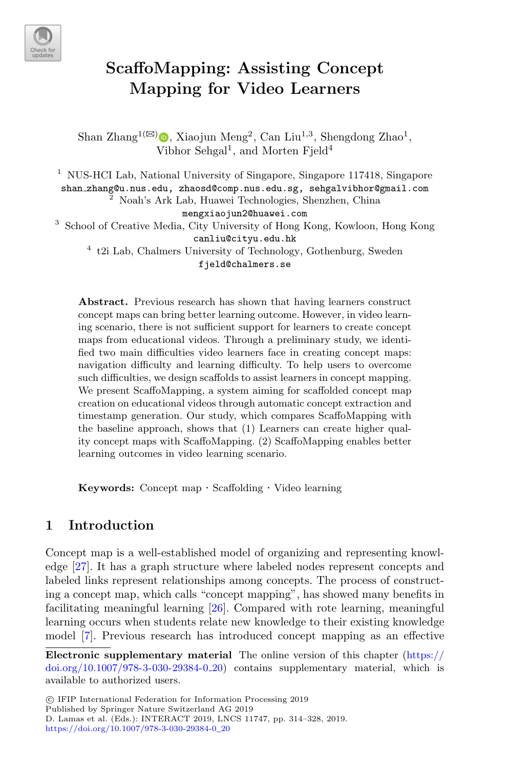

# **ScaffoMapping: Assisting Concept Mapping for Video Learners**

Shan Zhang<sup>1( $\boxtimes$ )</sup>  $\bullet$ [,](http://orcid.org/0000-0003-1030-537X) Xiaojun Meng<sup>2</sup>, Can Liu<sup>1,3</sup>, Shengdong Zhao<sup>1</sup>, Vibhor Sehgal<sup>1</sup>, and Morten Fjeld<sup>4</sup>

<sup>1</sup> NUS-HCI Lab, National University of Singapore, Singapore 117418, Singapore shan zhang@u.nus.edu, zhaosd@comp.nus.edu.sg, sehgalvibhor@gmail.com <sup>2</sup> Noah's Ark Lab, Huawei Technologies, Shenzhen, China mengxiaojun2@huawei.com <sup>3</sup> School of Creative Media, City University of Hong Kong, Kowloon, Hong Kong canliu@cityu.edu.hk

<sup>4</sup> t2i Lab, Chalmers University of Technology, Gothenburg, Sweden fjeld@chalmers.se

**Abstract.** Previous research has shown that having learners construct concept maps can bring better learning outcome. However, in video learning scenario, there is not sufficient support for learners to create concept maps from educational videos. Through a preliminary study, we identified two main difficulties video learners face in creating concept maps: navigation difficulty and learning difficulty. To help users to overcome such difficulties, we design scaffolds to assist learners in concept mapping. We present ScaffoMapping, a system aiming for scaffolded concept map creation on educational videos through automatic concept extraction and timestamp generation. Our study, which compares ScaffoMapping with the baseline approach, shows that (1) Learners can create higher quality concept maps with ScaffoMapping. (2) ScaffoMapping enables better learning outcomes in video learning scenario.

**Keywords:** Concept map *·* Scaffolding *·* Video learning

## **1 Introduction**

Concept map is a well-established model of organizing and representing knowledge [\[27](#page-14-0)]. It has a graph structure where labeled nodes represent concepts and labeled links represent relationships among concepts. The process of constructing a concept map, which calls "concept mapping", has showed many benefits in facilitating meaningful learning [\[26](#page-14-1)]. Compared with rote learning, meaningful learning occurs when students relate new knowledge to their existing knowledge model [\[7](#page-13-0)]. Previous research has introduced concept mapping as an effective

-c IFIP International Federation for Information Processing 2019 Published by Springer Nature Switzerland AG 2019 D. Lamas et al. (Eds.): INTERACT 2019, LNCS 11747, pp. 314–328, 2019. [https://doi.org/10.1007/978-3-030-29384-0](https://doi.org/10.1007/978-3-030-29384-0_20)\_20

**Electronic supplementary material** The online version of this chapter [\(https://](https://doi.org/10.1007/978-3-030-29384-0_20)  $\text{doi.org}/10.1007/978-3-030-29384-0.20)$  contains supplementary material, which is available to authorized users.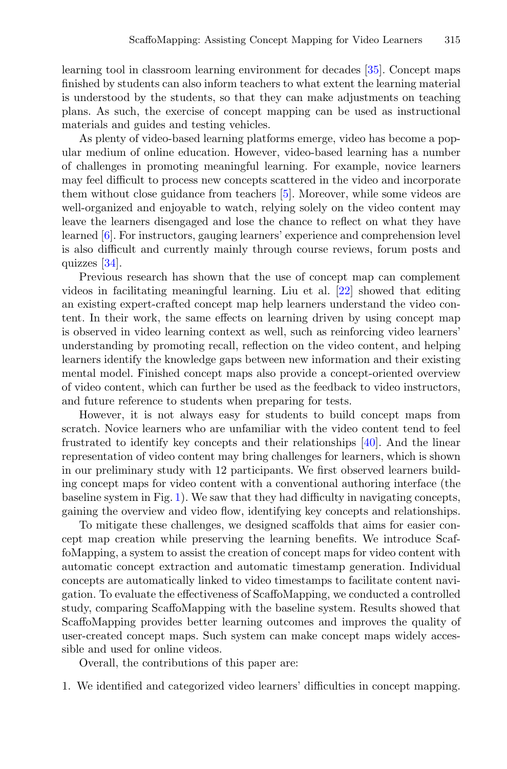learning tool in classroom learning environment for decades [\[35\]](#page-14-2). Concept maps finished by students can also inform teachers to what extent the learning material is understood by the students, so that they can make adjustments on teaching plans. As such, the exercise of concept mapping can be used as instructional materials and guides and testing vehicles.

As plenty of video-based learning platforms emerge, video has become a popular medium of online education. However, video-based learning has a number of challenges in promoting meaningful learning. For example, novice learners may feel difficult to process new concepts scattered in the video and incorporate them without close guidance from teachers [\[5](#page-13-1)]. Moreover, while some videos are well-organized and enjoyable to watch, relying solely on the video content may leave the learners disengaged and lose the chance to reflect on what they have learned [\[6](#page-13-2)]. For instructors, gauging learners' experience and comprehension level is also difficult and currently mainly through course reviews, forum posts and quizzes [\[34](#page-14-3)].

Previous research has shown that the use of concept map can complement videos in facilitating meaningful learning. Liu et al. [\[22\]](#page-13-3) showed that editing an existing expert-crafted concept map help learners understand the video content. In their work, the same effects on learning driven by using concept map is observed in video learning context as well, such as reinforcing video learners' understanding by promoting recall, reflection on the video content, and helping learners identify the knowledge gaps between new information and their existing mental model. Finished concept maps also provide a concept-oriented overview of video content, which can further be used as the feedback to video instructors, and future reference to students when preparing for tests.

However, it is not always easy for students to build concept maps from scratch. Novice learners who are unfamiliar with the video content tend to feel frustrated to identify key concepts and their relationships [\[40](#page-14-4)]. And the linear representation of video content may bring challenges for learners, which is shown in our preliminary study with 12 participants. We first observed learners building concept maps for video content with a conventional authoring interface (the baseline system in Fig. [1\)](#page-4-0). We saw that they had difficulty in navigating concepts, gaining the overview and video flow, identifying key concepts and relationships.

To mitigate these challenges, we designed scaffolds that aims for easier concept map creation while preserving the learning benefits. We introduce ScaffoMapping, a system to assist the creation of concept maps for video content with automatic concept extraction and automatic timestamp generation. Individual concepts are automatically linked to video timestamps to facilitate content navigation. To evaluate the effectiveness of ScaffoMapping, we conducted a controlled study, comparing ScaffoMapping with the baseline system. Results showed that ScaffoMapping provides better learning outcomes and improves the quality of user-created concept maps. Such system can make concept maps widely accessible and used for online videos.

Overall, the contributions of this paper are:

1. We identified and categorized video learners' difficulties in concept mapping.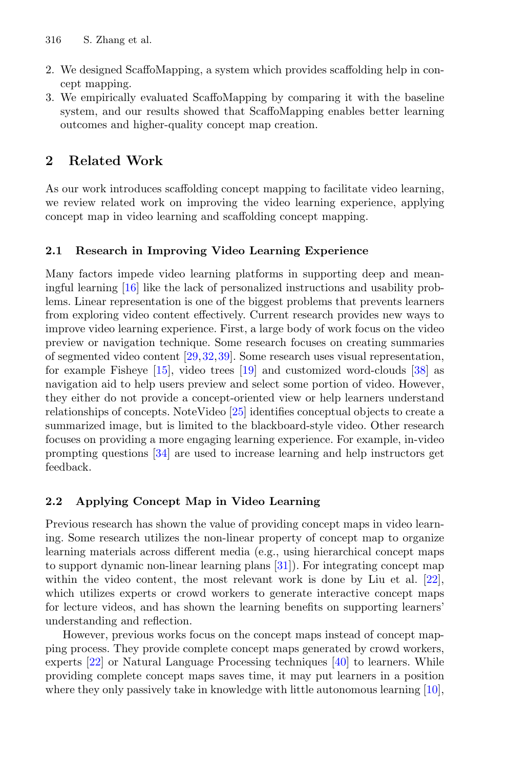- 2. We designed ScaffoMapping, a system which provides scaffolding help in concept mapping.
- 3. We empirically evaluated ScaffoMapping by comparing it with the baseline system, and our results showed that ScaffoMapping enables better learning outcomes and higher-quality concept map creation.

## **2 Related Work**

As our work introduces scaffolding concept mapping to facilitate video learning, we review related work on improving the video learning experience, applying concept map in video learning and scaffolding concept mapping.

### **2.1 Research in Improving Video Learning Experience**

Many factors impede video learning platforms in supporting deep and meaningful learning [\[16](#page-13-4)] like the lack of personalized instructions and usability problems. Linear representation is one of the biggest problems that prevents learners from exploring video content effectively. Current research provides new ways to improve video learning experience. First, a large body of work focus on the video preview or navigation technique. Some research focuses on creating summaries of segmented video content [\[29,](#page-14-5)[32,](#page-14-6)[39](#page-14-7)]. Some research uses visual representation, for example Fisheye [\[15](#page-13-5)], video trees [\[19](#page-13-6)] and customized word-clouds [\[38](#page-14-8)] as navigation aid to help users preview and select some portion of video. However, they either do not provide a concept-oriented view or help learners understand relationships of concepts. NoteVideo [\[25](#page-14-9)] identifies conceptual objects to create a summarized image, but is limited to the blackboard-style video. Other research focuses on providing a more engaging learning experience. For example, in-video prompting questions [\[34\]](#page-14-3) are used to increase learning and help instructors get feedback.

### **2.2 Applying Concept Map in Video Learning**

Previous research has shown the value of providing concept maps in video learning. Some research utilizes the non-linear property of concept map to organize learning materials across different media (e.g., using hierarchical concept maps to support dynamic non-linear learning plans [\[31](#page-14-10)]). For integrating concept map within the video content, the most relevant work is done by Liu et al. [\[22\]](#page-13-3), which utilizes experts or crowd workers to generate interactive concept maps for lecture videos, and has shown the learning benefits on supporting learners' understanding and reflection.

However, previous works focus on the concept maps instead of concept mapping process. They provide complete concept maps generated by crowd workers, experts [\[22](#page-13-3)] or Natural Language Processing techniques [\[40](#page-14-4)] to learners. While providing complete concept maps saves time, it may put learners in a position where they only passively take in knowledge with little autonomous learning [\[10\]](#page-13-7),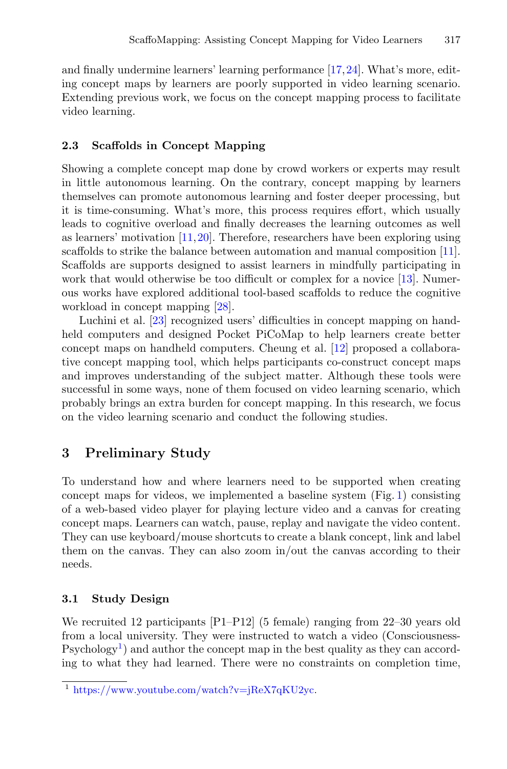and finally undermine learners' learning performance [\[17](#page-13-8)[,24](#page-14-11)]. What's more, editing concept maps by learners are poorly supported in video learning scenario. Extending previous work, we focus on the concept mapping process to facilitate video learning.

### **2.3 Scaffolds in Concept Mapping**

Showing a complete concept map done by crowd workers or experts may result in little autonomous learning. On the contrary, concept mapping by learners themselves can promote autonomous learning and foster deeper processing, but it is time-consuming. What's more, this process requires effort, which usually leads to cognitive overload and finally decreases the learning outcomes as well as learners' motivation [\[11](#page-13-9)[,20](#page-13-10)]. Therefore, researchers have been exploring using scaffolds to strike the balance between automation and manual composition [\[11\]](#page-13-9). Scaffolds are supports designed to assist learners in mindfully participating in work that would otherwise be too difficult or complex for a novice [\[13\]](#page-13-11). Numerous works have explored additional tool-based scaffolds to reduce the cognitive workload in concept mapping [\[28](#page-14-12)].

Luchini et al. [\[23](#page-14-13)] recognized users' difficulties in concept mapping on handheld computers and designed Pocket PiCoMap to help learners create better concept maps on handheld computers. Cheung et al. [\[12](#page-13-12)] proposed a collaborative concept mapping tool, which helps participants co-construct concept maps and improves understanding of the subject matter. Although these tools were successful in some ways, none of them focused on video learning scenario, which probably brings an extra burden for concept mapping. In this research, we focus on the video learning scenario and conduct the following studies.

## **3 Preliminary Study**

To understand how and where learners need to be supported when creating concept maps for videos, we implemented a baseline system (Fig. [1\)](#page-4-0) consisting of a web-based video player for playing lecture video and a canvas for creating concept maps. Learners can watch, pause, replay and navigate the video content. They can use keyboard/mouse shortcuts to create a blank concept, link and label them on the canvas. They can also zoom in/out the canvas according to their needs.

### **3.1 Study Design**

We recruited 12 participants [P1–P12] (5 female) ranging from 22–30 years old from a local university. They were instructed to watch a video (Consciousness-Psychology[1](#page-3-0)) and author the concept map in the best quality as they can according to what they had learned. There were no constraints on completion time,

<span id="page-3-0"></span> $1$  [https://www.youtube.com/watch?v=jReX7qKU2yc.](https://www.youtube.com/watch?v=jReX7qKU2yc)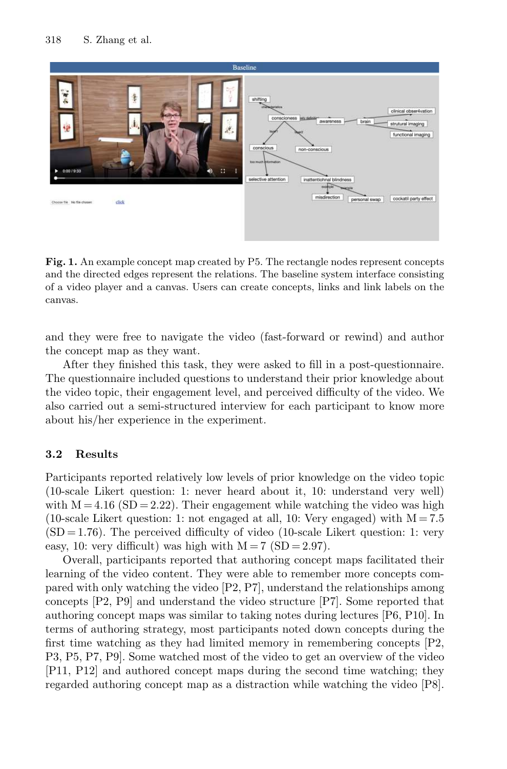

Fig. 1. An example concept map created by P5. The rectangle nodes represent concepts and the directed edges represent the relations. The baseline system interface consisting of a video player and a canvas. Users can create concepts, links and link labels on the canvas.

<span id="page-4-0"></span>and they were free to navigate the video (fast-forward or rewind) and author the concept map as they want.

After they finished this task, they were asked to fill in a post-questionnaire. The questionnaire included questions to understand their prior knowledge about the video topic, their engagement level, and perceived difficulty of the video. We also carried out a semi-structured interview for each participant to know more about his/her experience in the experiment.

### **3.2 Results**

Participants reported relatively low levels of prior knowledge on the video topic (10-scale Likert question: 1: never heard about it, 10: understand very well) with  $M = 4.16$  (SD = 2.22). Their engagement while watching the video was high (10-scale Likert question: 1: not engaged at all, 10: Very engaged) with  $M = 7.5$  $(SD = 1.76)$ . The perceived difficulty of video (10-scale Likert question: 1: very easy, 10: very difficult) was high with  $M = 7$  (SD = 2.97).

Overall, participants reported that authoring concept maps facilitated their learning of the video content. They were able to remember more concepts compared with only watching the video [P2, P7], understand the relationships among concepts [P2, P9] and understand the video structure [P7]. Some reported that authoring concept maps was similar to taking notes during lectures [P6, P10]. In terms of authoring strategy, most participants noted down concepts during the first time watching as they had limited memory in remembering concepts [P2, P3, P5, P7, P9]. Some watched most of the video to get an overview of the video [P11, P12] and authored concept maps during the second time watching; they regarded authoring concept map as a distraction while watching the video [P8].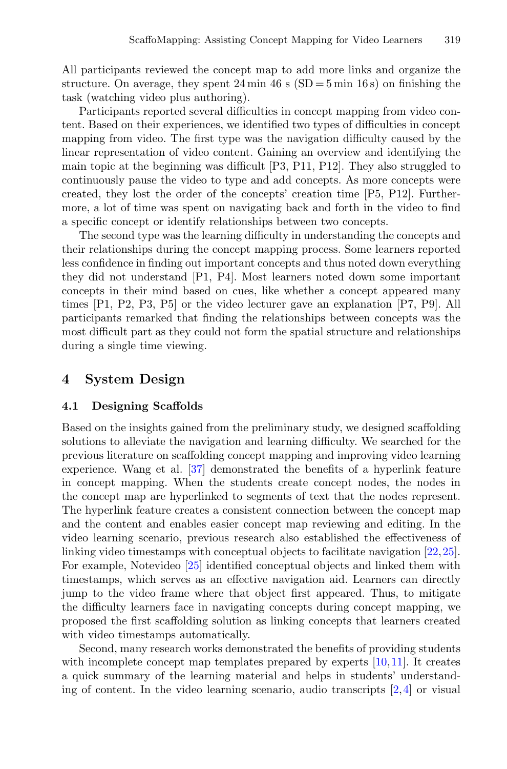All participants reviewed the concept map to add more links and organize the structure. On average, they spent  $24 \text{ min } 46 \text{ s } (\text{SD} = 5 \text{ min } 16 \text{ s})$  on finishing the task (watching video plus authoring).

Participants reported several difficulties in concept mapping from video content. Based on their experiences, we identified two types of difficulties in concept mapping from video. The first type was the navigation difficulty caused by the linear representation of video content. Gaining an overview and identifying the main topic at the beginning was difficult [P3, P11, P12]. They also struggled to continuously pause the video to type and add concepts. As more concepts were created, they lost the order of the concepts' creation time [P5, P12]. Furthermore, a lot of time was spent on navigating back and forth in the video to find a specific concept or identify relationships between two concepts.

The second type was the learning difficulty in understanding the concepts and their relationships during the concept mapping process. Some learners reported less confidence in finding out important concepts and thus noted down everything they did not understand [P1, P4]. Most learners noted down some important concepts in their mind based on cues, like whether a concept appeared many times [P1, P2, P3, P5] or the video lecturer gave an explanation [P7, P9]. All participants remarked that finding the relationships between concepts was the most difficult part as they could not form the spatial structure and relationships during a single time viewing.

### **4 System Design**

#### **4.1 Designing Scaffolds**

Based on the insights gained from the preliminary study, we designed scaffolding solutions to alleviate the navigation and learning difficulty. We searched for the previous literature on scaffolding concept mapping and improving video learning experience. Wang et al. [\[37](#page-14-14)] demonstrated the benefits of a hyperlink feature in concept mapping. When the students create concept nodes, the nodes in the concept map are hyperlinked to segments of text that the nodes represent. The hyperlink feature creates a consistent connection between the concept map and the content and enables easier concept map reviewing and editing. In the video learning scenario, previous research also established the effectiveness of linking video timestamps with conceptual objects to facilitate navigation [\[22](#page-13-3),[25\]](#page-14-9). For example, Notevideo [\[25\]](#page-14-9) identified conceptual objects and linked them with timestamps, which serves as an effective navigation aid. Learners can directly jump to the video frame where that object first appeared. Thus, to mitigate the difficulty learners face in navigating concepts during concept mapping, we proposed the first scaffolding solution as linking concepts that learners created with video timestamps automatically.

Second, many research works demonstrated the benefits of providing students with incomplete concept map templates prepared by experts  $[10,11]$  $[10,11]$  $[10,11]$ . It creates a quick summary of the learning material and helps in students' understanding of content. In the video learning scenario, audio transcripts  $[2,4]$  $[2,4]$  or visual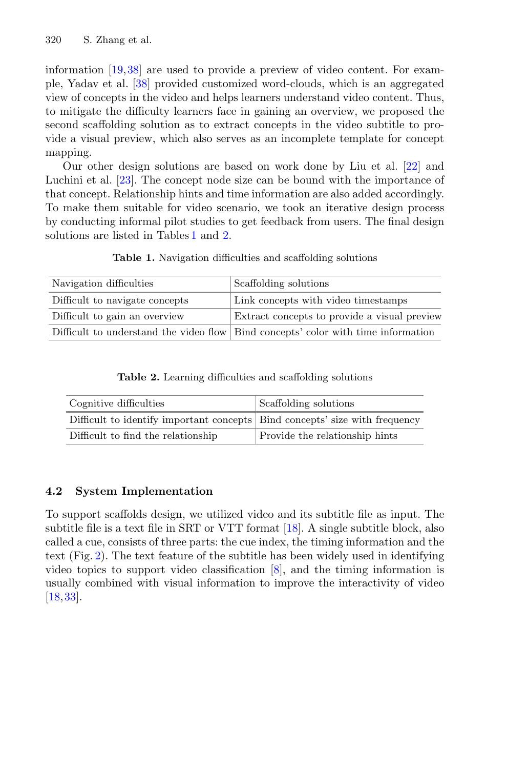information [\[19](#page-13-6)[,38](#page-14-8)] are used to provide a preview of video content. For example, Yadav et al. [\[38\]](#page-14-8) provided customized word-clouds, which is an aggregated view of concepts in the video and helps learners understand video content. Thus, to mitigate the difficulty learners face in gaining an overview, we proposed the second scaffolding solution as to extract concepts in the video subtitle to provide a visual preview, which also serves as an incomplete template for concept mapping.

Our other design solutions are based on work done by Liu et al. [\[22](#page-13-3)] and Luchini et al. [\[23](#page-14-13)]. The concept node size can be bound with the importance of that concept. Relationship hints and time information are also added accordingly. To make them suitable for video scenario, we took an iterative design process by conducting informal pilot studies to get feedback from users. The final design solutions are listed in Tables [1](#page-6-0) and [2.](#page-6-1)

<span id="page-6-0"></span>**Table 1.** Navigation difficulties and scaffolding solutions

| Navigation difficulties        | Scaffolding solutions                                                             |
|--------------------------------|-----------------------------------------------------------------------------------|
| Difficult to navigate concepts | Link concepts with video timestamps                                               |
| Difficult to gain an overview  | Extract concepts to provide a visual preview                                      |
|                                | Difficult to understand the video flow Bind concepts' color with time information |

<span id="page-6-1"></span>**Table 2.** Learning difficulties and scaffolding solutions

| Cognitive difficulties                                                        | Scaffolding solutions          |
|-------------------------------------------------------------------------------|--------------------------------|
| Difficult to identify important concepts   Bind concepts' size with frequency |                                |
| Difficult to find the relationship                                            | Provide the relationship hints |

### **4.2 System Implementation**

To support scaffolds design, we utilized video and its subtitle file as input. The subtitle file is a text file in SRT or VTT format [\[18](#page-13-15)]. A single subtitle block, also called a cue, consists of three parts: the cue index, the timing information and the text (Fig. [2\)](#page-7-0). The text feature of the subtitle has been widely used in identifying video topics to support video classification [\[8](#page-13-16)], and the timing information is usually combined with visual information to improve the interactivity of video [\[18](#page-13-15),[33\]](#page-14-15).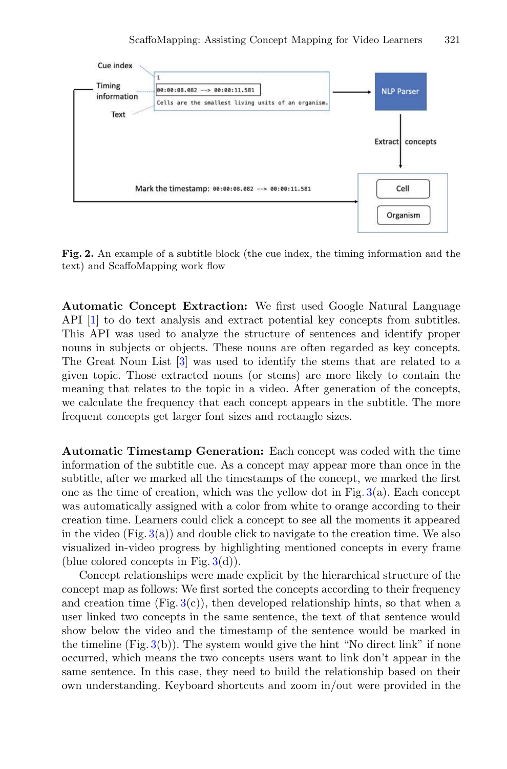

<span id="page-7-0"></span>**Fig. 2.** An example of a subtitle block (the cue index, the timing information and the text) and ScaffoMapping work flow

**Automatic Concept Extraction:** We first used Google Natural Language API [\[1](#page-13-17)] to do text analysis and extract potential key concepts from subtitles. This API was used to analyze the structure of sentences and identify proper nouns in subjects or objects. These nouns are often regarded as key concepts. The Great Noun List [\[3](#page-13-18)] was used to identify the stems that are related to a given topic. Those extracted nouns (or stems) are more likely to contain the meaning that relates to the topic in a video. After generation of the concepts, we calculate the frequency that each concept appears in the subtitle. The more frequent concepts get larger font sizes and rectangle sizes.

**Automatic Timestamp Generation:** Each concept was coded with the time information of the subtitle cue. As a concept may appear more than once in the subtitle, after we marked all the timestamps of the concept, we marked the first one as the time of creation, which was the yellow dot in Fig. [3\(](#page-8-0)a). Each concept was automatically assigned with a color from white to orange according to their creation time. Learners could click a concept to see all the moments it appeared in the video  $(Fig. 3(a))$  $(Fig. 3(a))$  $(Fig. 3(a))$  and double click to navigate to the creation time. We also visualized in-video progress by highlighting mentioned concepts in every frame (blue colored concepts in Fig.  $3(d)$  $3(d)$ ).

Concept relationships were made explicit by the hierarchical structure of the concept map as follows: We first sorted the concepts according to their frequency and creation time (Fig.  $3(c)$  $3(c)$ ), then developed relationship hints, so that when a user linked two concepts in the same sentence, the text of that sentence would show below the video and the timestamp of the sentence would be marked in the timeline  $(Fig. 3(b))$  $(Fig. 3(b))$  $(Fig. 3(b))$ . The system would give the hint "No direct link" if none occurred, which means the two concepts users want to link don't appear in the same sentence. In this case, they need to build the relationship based on their own understanding. Keyboard shortcuts and zoom in/out were provided in the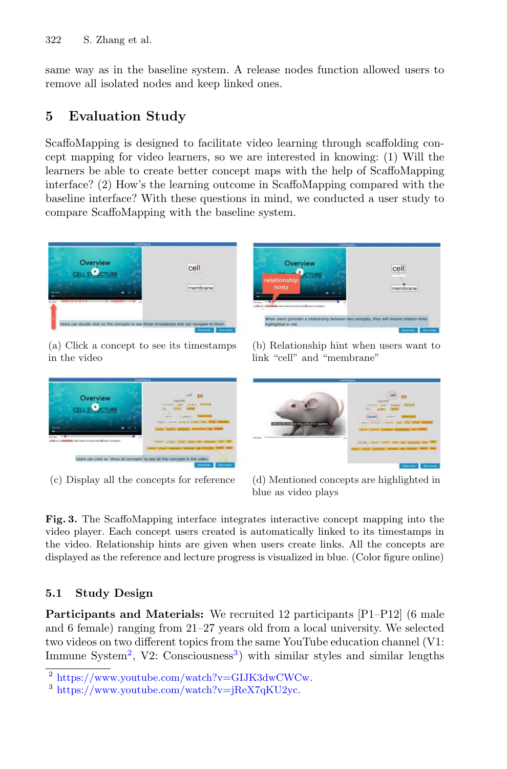same way as in the baseline system. A release nodes function allowed users to remove all isolated nodes and keep linked ones.

## **5 Evaluation Study**

ScaffoMapping is designed to facilitate video learning through scaffolding concept mapping for video learners, so we are interested in knowing: (1) Will the learners be able to create better concept maps with the help of ScaffoMapping interface? (2) How's the learning outcome in ScaffoMapping compared with the baseline interface? With these questions in mind, we conducted a user study to compare ScaffoMapping with the baseline system.



(a) Click a concept to see its timestamps in the video



(b) Relationship hint when users want to link "cell" and "membrane"



(c) Display all the concepts for reference (d) Mentioned concepts are highlighted in blue as video plays

<span id="page-8-0"></span>**Fig. 3.** The ScaffoMapping interface integrates interactive concept mapping into the video player. Each concept users created is automatically linked to its timestamps in the video. Relationship hints are given when users create links. All the concepts are displayed as the reference and lecture progress is visualized in blue. (Color figure online)

## **5.1 Study Design**

**Participants and Materials:** We recruited 12 participants  $[P1-P12]$  (6 male and 6 female) ranging from 21–27 years old from a local university. We selected two videos on two different topics from the same YouTube education channel (V1: Immune System<sup>[2](#page-8-1)</sup>, V2: Consciousness<sup>[3](#page-8-2)</sup>) with similar styles and similar lengths

<span id="page-8-1"></span> $^2$ [https://www.youtube.com/watch?v=GIJK3dwCWCw.](https://www.youtube.com/watch?v=GIJK3dwCWCw)

<span id="page-8-2"></span> $3 \text{ https://www.voutube.com/watch?v=iReX7qKU2yc.}$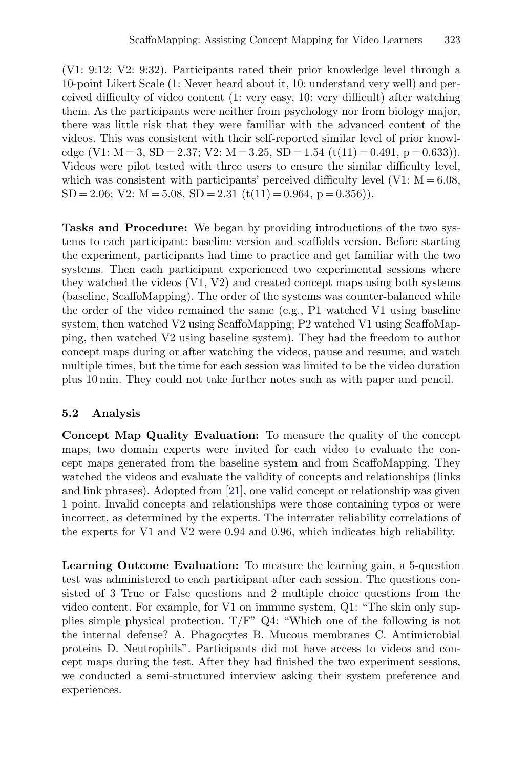(V1: 9:12; V2: 9:32). Participants rated their prior knowledge level through a 10-point Likert Scale (1: Never heard about it, 10: understand very well) and perceived difficulty of video content (1: very easy, 10: very difficult) after watching them. As the participants were neither from psychology nor from biology major, there was little risk that they were familiar with the advanced content of the videos. This was consistent with their self-reported similar level of prior knowledge (V1:  $M = 3$ , SD = 2.37; V2:  $M = 3.25$ , SD = 1.54 (t(11) = 0.491, p = 0.633)). Videos were pilot tested with three users to ensure the similar difficulty level, which was consistent with participants' perceived difficulty level (V1:  $M = 6.08$ ,  $SD = 2.06$ ; V2:  $M = 5.08$ ,  $SD = 2.31$   $(t(11) = 0.964, p = 0.356)$ .

**Tasks and Procedure:** We began by providing introductions of the two systems to each participant: baseline version and scaffolds version. Before starting the experiment, participants had time to practice and get familiar with the two systems. Then each participant experienced two experimental sessions where they watched the videos (V1, V2) and created concept maps using both systems (baseline, ScaffoMapping). The order of the systems was counter-balanced while the order of the video remained the same (e.g., P1 watched V1 using baseline system, then watched V2 using ScaffoMapping; P2 watched V1 using ScaffoMapping, then watched V2 using baseline system). They had the freedom to author concept maps during or after watching the videos, pause and resume, and watch multiple times, but the time for each session was limited to be the video duration plus 10 min. They could not take further notes such as with paper and pencil.

### **5.2 Analysis**

**Concept Map Quality Evaluation:** To measure the quality of the concept maps, two domain experts were invited for each video to evaluate the concept maps generated from the baseline system and from ScaffoMapping. They watched the videos and evaluate the validity of concepts and relationships (links and link phrases). Adopted from [\[21](#page-13-19)], one valid concept or relationship was given 1 point. Invalid concepts and relationships were those containing typos or were incorrect, as determined by the experts. The interrater reliability correlations of the experts for V1 and V2 were 0.94 and 0.96, which indicates high reliability.

**Learning Outcome Evaluation:** To measure the learning gain, a 5-question test was administered to each participant after each session. The questions consisted of 3 True or False questions and 2 multiple choice questions from the video content. For example, for V1 on immune system, Q1: "The skin only supplies simple physical protection.  $T/F''$  Q4: "Which one of the following is not the internal defense? A. Phagocytes B. Mucous membranes C. Antimicrobial proteins D. Neutrophils". Participants did not have access to videos and concept maps during the test. After they had finished the two experiment sessions, we conducted a semi-structured interview asking their system preference and experiences.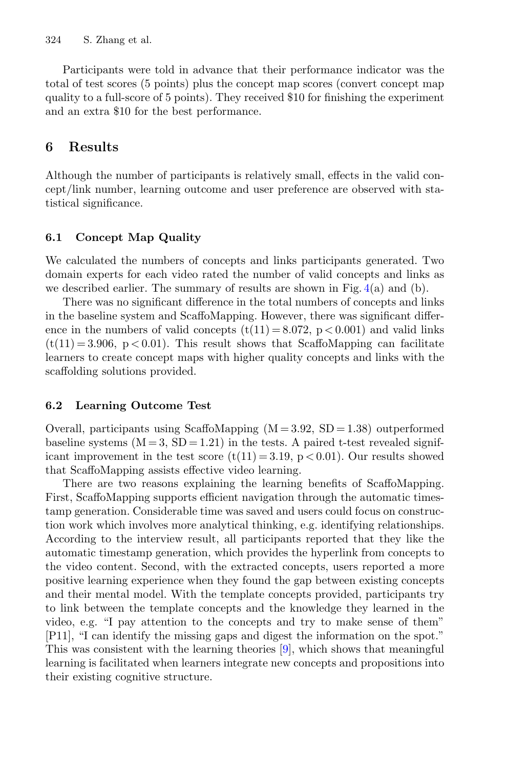Participants were told in advance that their performance indicator was the total of test scores (5 points) plus the concept map scores (convert concept map quality to a full-score of 5 points). They received \$10 for finishing the experiment and an extra \$10 for the best performance.

## **6 Results**

Although the number of participants is relatively small, effects in the valid concept/link number, learning outcome and user preference are observed with statistical significance.

## **6.1 Concept Map Quality**

We calculated the numbers of concepts and links participants generated. Two domain experts for each video rated the number of valid concepts and links as we described earlier. The summary of results are shown in Fig.  $4(a)$  $4(a)$  and (b).

There was no significant difference in the total numbers of concepts and links in the baseline system and ScaffoMapping. However, there was significant difference in the numbers of valid concepts  $(t(11) = 8.072, p < 0.001)$  and valid links  $(t(11) = 3.906, p < 0.01)$ . This result shows that ScaffoMapping can facilitate learners to create concept maps with higher quality concepts and links with the scaffolding solutions provided.

## **6.2 Learning Outcome Test**

Overall, participants using ScaffoMapping  $(M = 3.92, SD = 1.38)$  outperformed baseline systems  $(M = 3, SD = 1.21)$  in the tests. A paired t-test revealed significant improvement in the test score  $(t(11) = 3.19, p < 0.01)$ . Our results showed that ScaffoMapping assists effective video learning.

There are two reasons explaining the learning benefits of ScaffoMapping. First, ScaffoMapping supports efficient navigation through the automatic timestamp generation. Considerable time was saved and users could focus on construction work which involves more analytical thinking, e.g. identifying relationships. According to the interview result, all participants reported that they like the automatic timestamp generation, which provides the hyperlink from concepts to the video content. Second, with the extracted concepts, users reported a more positive learning experience when they found the gap between existing concepts and their mental model. With the template concepts provided, participants try to link between the template concepts and the knowledge they learned in the video, e.g. "I pay attention to the concepts and try to make sense of them" [P11], "I can identify the missing gaps and digest the information on the spot." This was consistent with the learning theories [\[9](#page-13-20)], which shows that meaningful learning is facilitated when learners integrate new concepts and propositions into their existing cognitive structure.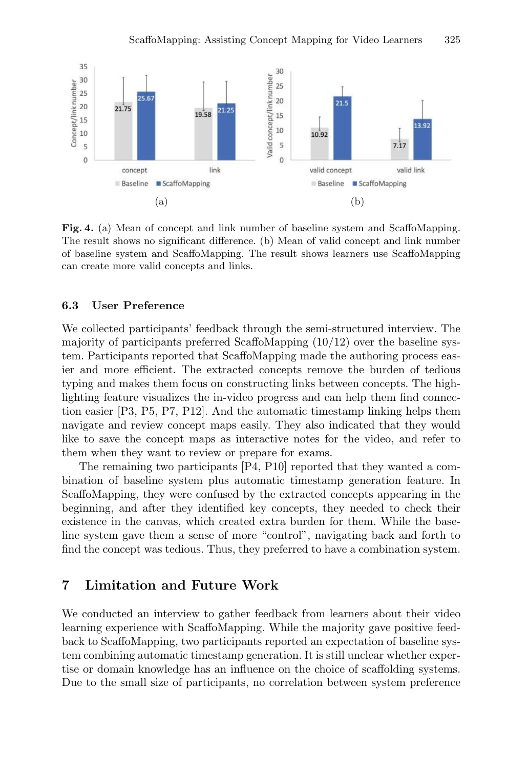

<span id="page-11-0"></span>**Fig. 4.** (a) Mean of concept and link number of baseline system and ScaffoMapping. The result shows no significant difference. (b) Mean of valid concept and link number of baseline system and ScaffoMapping. The result shows learners use ScaffoMapping can create more valid concepts and links.

### **6.3 User Preference**

We collected participants' feedback through the semi-structured interview. The majority of participants preferred ScaffoMapping (10/12) over the baseline system. Participants reported that ScaffoMapping made the authoring process easier and more efficient. The extracted concepts remove the burden of tedious typing and makes them focus on constructing links between concepts. The highlighting feature visualizes the in-video progress and can help them find connection easier [P3, P5, P7, P12]. And the automatic timestamp linking helps them navigate and review concept maps easily. They also indicated that they would like to save the concept maps as interactive notes for the video, and refer to them when they want to review or prepare for exams.

The remaining two participants [P4, P10] reported that they wanted a combination of baseline system plus automatic timestamp generation feature. In ScaffoMapping, they were confused by the extracted concepts appearing in the beginning, and after they identified key concepts, they needed to check their existence in the canvas, which created extra burden for them. While the baseline system gave them a sense of more "control", navigating back and forth to find the concept was tedious. Thus, they preferred to have a combination system.

### **7 Limitation and Future Work**

We conducted an interview to gather feedback from learners about their video learning experience with ScaffoMapping. While the majority gave positive feedback to ScaffoMapping, two participants reported an expectation of baseline system combining automatic timestamp generation. It is still unclear whether expertise or domain knowledge has an influence on the choice of scaffolding systems. Due to the small size of participants, no correlation between system preference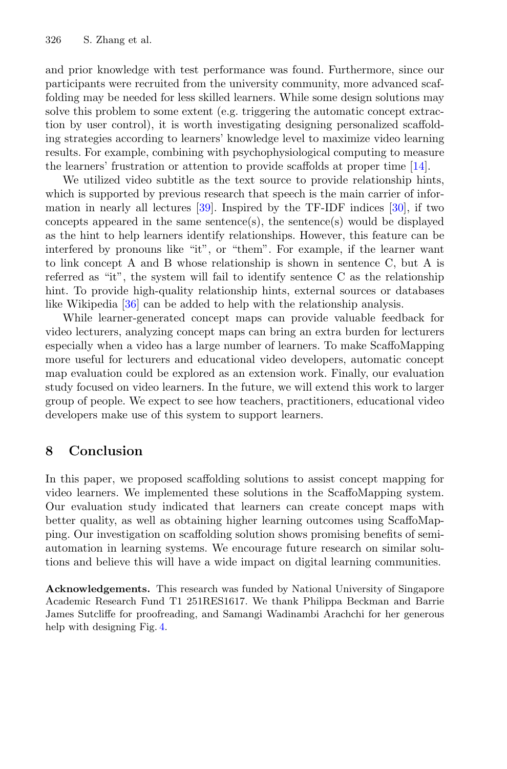and prior knowledge with test performance was found. Furthermore, since our participants were recruited from the university community, more advanced scaffolding may be needed for less skilled learners. While some design solutions may solve this problem to some extent (e.g. triggering the automatic concept extraction by user control), it is worth investigating designing personalized scaffolding strategies according to learners' knowledge level to maximize video learning results. For example, combining with psychophysiological computing to measure the learners' frustration or attention to provide scaffolds at proper time [\[14](#page-13-21)].

We utilized video subtitle as the text source to provide relationship hints, which is supported by previous research that speech is the main carrier of information in nearly all lectures [\[39\]](#page-14-7). Inspired by the TF-IDF indices [\[30\]](#page-14-16), if two concepts appeared in the same sentence(s), the sentence(s) would be displayed as the hint to help learners identify relationships. However, this feature can be interfered by pronouns like "it", or "them". For example, if the learner want to link concept A and B whose relationship is shown in sentence C, but A is referred as "it", the system will fail to identify sentence C as the relationship hint. To provide high-quality relationship hints, external sources or databases like Wikipedia [\[36](#page-14-17)] can be added to help with the relationship analysis.

While learner-generated concept maps can provide valuable feedback for video lecturers, analyzing concept maps can bring an extra burden for lecturers especially when a video has a large number of learners. To make ScaffoMapping more useful for lecturers and educational video developers, automatic concept map evaluation could be explored as an extension work. Finally, our evaluation study focused on video learners. In the future, we will extend this work to larger group of people. We expect to see how teachers, practitioners, educational video developers make use of this system to support learners.

## **8 Conclusion**

In this paper, we proposed scaffolding solutions to assist concept mapping for video learners. We implemented these solutions in the ScaffoMapping system. Our evaluation study indicated that learners can create concept maps with better quality, as well as obtaining higher learning outcomes using ScaffoMapping. Our investigation on scaffolding solution shows promising benefits of semiautomation in learning systems. We encourage future research on similar solutions and believe this will have a wide impact on digital learning communities.

**Acknowledgements.** This research was funded by National University of Singapore Academic Research Fund T1 251RES1617. We thank Philippa Beckman and Barrie James Sutcliffe for proofreading, and Samangi Wadinambi Arachchi for her generous help with designing Fig. [4.](#page-11-0)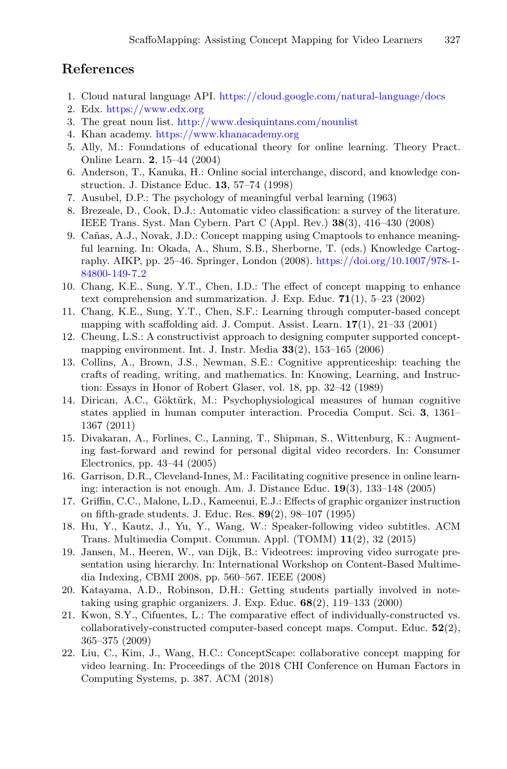## **References**

- <span id="page-13-17"></span>1. Cloud natural language API. <https://cloud.google.com/natural-language/docs>
- <span id="page-13-13"></span>2. Edx. <https://www.edx.org>
- <span id="page-13-18"></span>3. The great noun list. <http://www.desiquintans.com/nounlist>
- <span id="page-13-14"></span>4. Khan academy. <https://www.khanacademy.org>
- <span id="page-13-1"></span>5. Ally, M.: Foundations of educational theory for online learning. Theory Pract. Online Learn. **2**, 15–44 (2004)
- <span id="page-13-2"></span>6. Anderson, T., Kanuka, H.: Online social interchange, discord, and knowledge construction. J. Distance Educ. **13**, 57–74 (1998)
- <span id="page-13-0"></span>7. Ausubel, D.P.: The psychology of meaningful verbal learning (1963)
- <span id="page-13-16"></span>8. Brezeale, D., Cook, D.J.: Automatic video classification: a survey of the literature. IEEE Trans. Syst. Man Cybern. Part C (Appl. Rev.) **38**(3), 416–430 (2008)
- <span id="page-13-20"></span>9. Ca˜nas, A.J., Novak, J.D.: Concept mapping using Cmaptools to enhance meaningful learning. In: Okada, A., Shum, S.B., Sherborne, T. (eds.) Knowledge Cartography. AIKP, pp. 25–46. Springer, London (2008). [https://doi.org/10.1007/978-1-](https://doi.org/10.1007/978-1-84800-149-7_2) [84800-149-7](https://doi.org/10.1007/978-1-84800-149-7_2) 2
- <span id="page-13-7"></span>10. Chang, K.E., Sung, Y.T., Chen, I.D.: The effect of concept mapping to enhance text comprehension and summarization. J. Exp. Educ. **71**(1), 5–23 (2002)
- <span id="page-13-9"></span>11. Chang, K.E., Sung, Y.T., Chen, S.F.: Learning through computer-based concept mapping with scaffolding aid. J. Comput. Assist. Learn. **17**(1), 21–33 (2001)
- <span id="page-13-12"></span>12. Cheung, L.S.: A constructivist approach to designing computer supported conceptmapping environment. Int. J. Instr. Media **33**(2), 153–165 (2006)
- <span id="page-13-11"></span>13. Collins, A., Brown, J.S., Newman, S.E.: Cognitive apprenticeship: teaching the crafts of reading, writing, and mathematics. In: Knowing, Learning, and Instruction: Essays in Honor of Robert Glaser, vol. 18, pp. 32–42 (1989)
- <span id="page-13-21"></span>14. Dirican, A.C., Göktürk, M.: Psychophysiological measures of human cognitive states applied in human computer interaction. Procedia Comput. Sci. **3**, 1361– 1367 (2011)
- <span id="page-13-5"></span>15. Divakaran, A., Forlines, C., Lanning, T., Shipman, S., Wittenburg, K.: Augmenting fast-forward and rewind for personal digital video recorders. In: Consumer Electronics, pp. 43–44 (2005)
- <span id="page-13-4"></span>16. Garrison, D.R., Cleveland-Innes, M.: Facilitating cognitive presence in online learning: interaction is not enough. Am. J. Distance Educ. **19**(3), 133–148 (2005)
- <span id="page-13-8"></span>17. Griffin, C.C., Malone, L.D., Kameenui, E.J.: Effects of graphic organizer instruction on fifth-grade students. J. Educ. Res. **89**(2), 98–107 (1995)
- <span id="page-13-15"></span>18. Hu, Y., Kautz, J., Yu, Y., Wang, W.: Speaker-following video subtitles. ACM Trans. Multimedia Comput. Commun. Appl. (TOMM) **11**(2), 32 (2015)
- <span id="page-13-6"></span>19. Jansen, M., Heeren, W., van Dijk, B.: Videotrees: improving video surrogate presentation using hierarchy. In: International Workshop on Content-Based Multimedia Indexing, CBMI 2008, pp. 560–567. IEEE (2008)
- <span id="page-13-10"></span>20. Katayama, A.D., Robinson, D.H.: Getting students partially involved in notetaking using graphic organizers. J. Exp. Educ. **68**(2), 119–133 (2000)
- <span id="page-13-19"></span>21. Kwon, S.Y., Cifuentes, L.: The comparative effect of individually-constructed vs. collaboratively-constructed computer-based concept maps. Comput. Educ. **52**(2), 365–375 (2009)
- <span id="page-13-3"></span>22. Liu, C., Kim, J., Wang, H.C.: ConceptScape: collaborative concept mapping for video learning. In: Proceedings of the 2018 CHI Conference on Human Factors in Computing Systems, p. 387. ACM (2018)